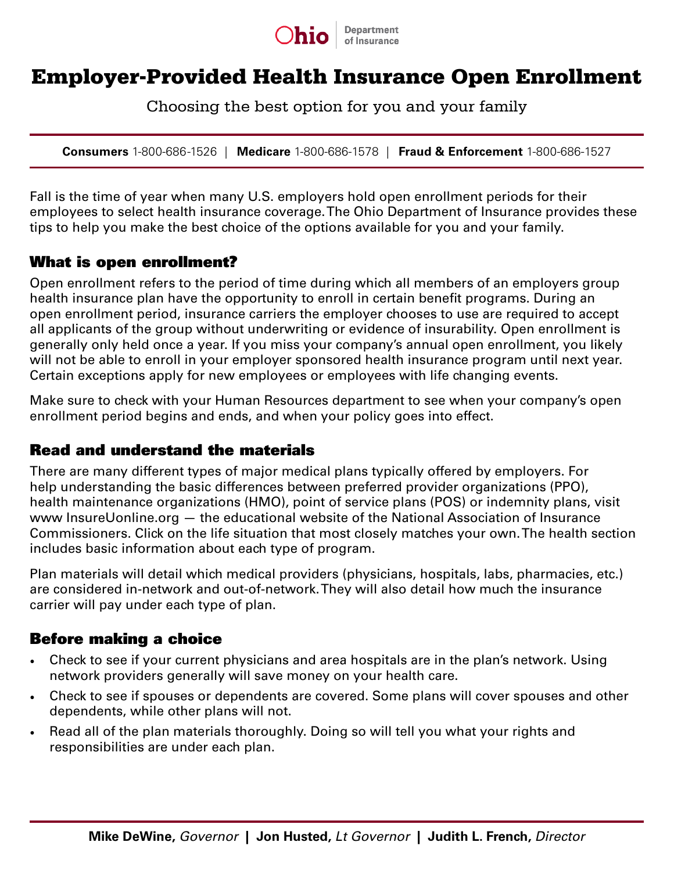

# Employer-Provided Health Insurance Open Enrollment

Choosing the best option for you and your family

**Consumers** 1-800-686-1526 | **Medicare** 1-800-686-1578 | **Fraud & Enforcement** 1-800-686-1527

Fall is the time of year when many U.S. employers hold open enrollment periods for their employees to select health insurance coverage. The Ohio Department of Insurance provides these tips to help you make the best choice of the options available for you and your family.

#### What is open enrollment?

Open enrollment refers to the period of time during which all members of an employers group health insurance plan have the opportunity to enroll in certain benefit programs. During an open enrollment period, insurance carriers the employer chooses to use are required to accept all applicants of the group without underwriting or evidence of insurability. Open enrollment is generally only held once a year. If you miss your company's annual open enrollment, you likely will not be able to enroll in your employer sponsored health insurance program until next year. Certain exceptions apply for new employees or employees with life changing events.

Make sure to check with your Human Resources department to see when your company's open enrollment period begins and ends, and when your policy goes into effect.

#### Read and understand the materials

There are many different types of major medical plans typically offered by employers. For help understanding the basic differences between preferred provider organizations (PPO), health maintenance organizations (HMO), point of service plans (POS) or indemnity plans, visit www InsureUonline.org — the educational website of the National Association of Insurance Commissioners. Click on the life situation that most closely matches your own. The health section includes basic information about each type of program.

Plan materials will detail which medical providers (physicians, hospitals, labs, pharmacies, etc.) are considered in-network and out-of-network. They will also detail how much the insurance carrier will pay under each type of plan.

### Before making a choice

- Check to see if your current physicians and area hospitals are in the plan's network. Using network providers generally will save money on your health care.
- Check to see if spouses or dependents are covered. Some plans will cover spouses and other dependents, while other plans will not.
- Read all of the plan materials thoroughly. Doing so will tell you what your rights and responsibilities are under each plan.